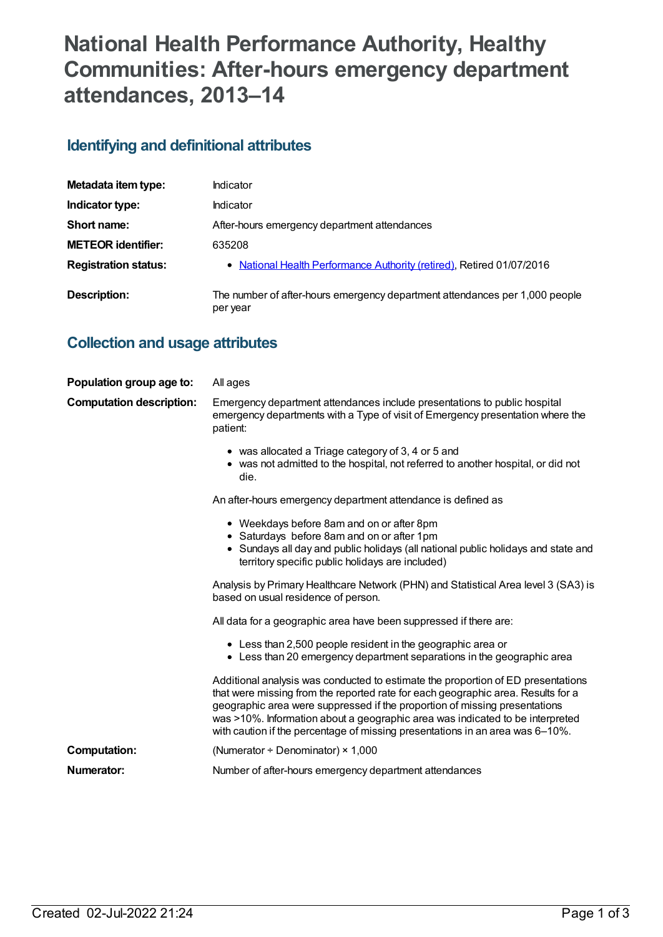# **National Health Performance Authority, Healthy Communities: After-hours emergency department attendances, 2013–14**

## **Identifying and definitional attributes**

| Metadata item type:         | Indicator                                                                               |
|-----------------------------|-----------------------------------------------------------------------------------------|
| Indicator type:             | Indicator                                                                               |
| Short name:                 | After-hours emergency department attendances                                            |
| <b>METEOR identifier:</b>   | 635208                                                                                  |
| <b>Registration status:</b> | • National Health Performance Authority (retired), Retired 01/07/2016                   |
| Description:                | The number of after-hours emergency department attendances per 1,000 people<br>per year |

## **Collection and usage attributes**

| Population group age to:        | All ages                                                                                                                                                                                                                                                                                                                                                                                                             |
|---------------------------------|----------------------------------------------------------------------------------------------------------------------------------------------------------------------------------------------------------------------------------------------------------------------------------------------------------------------------------------------------------------------------------------------------------------------|
| <b>Computation description:</b> | Emergency department attendances include presentations to public hospital<br>emergency departments with a Type of visit of Emergency presentation where the<br>patient:                                                                                                                                                                                                                                              |
|                                 | • was allocated a Triage category of 3, 4 or 5 and<br>• was not admitted to the hospital, not referred to another hospital, or did not<br>die.                                                                                                                                                                                                                                                                       |
|                                 | An after-hours emergency department attendance is defined as                                                                                                                                                                                                                                                                                                                                                         |
|                                 | • Weekdays before 8am and on or after 8pm<br>• Saturdays before 8am and on or after 1pm<br>• Sundays all day and public holidays (all national public holidays and state and<br>territory specific public holidays are included)                                                                                                                                                                                     |
|                                 | Analysis by Primary Healthcare Network (PHN) and Statistical Area level 3 (SA3) is<br>based on usual residence of person.                                                                                                                                                                                                                                                                                            |
|                                 | All data for a geographic area have been suppressed if there are:                                                                                                                                                                                                                                                                                                                                                    |
|                                 | • Less than 2,500 people resident in the geographic area or<br>• Less than 20 emergency department separations in the geographic area                                                                                                                                                                                                                                                                                |
|                                 | Additional analysis was conducted to estimate the proportion of ED presentations<br>that were missing from the reported rate for each geographic area. Results for a<br>geographic area were suppressed if the proportion of missing presentations<br>was >10%. Information about a geographic area was indicated to be interpreted<br>with caution if the percentage of missing presentations in an area was 6-10%. |
| <b>Computation:</b>             | (Numerator $\div$ Denominator) $\times$ 1,000                                                                                                                                                                                                                                                                                                                                                                        |
| Numerator:                      | Number of after-hours emergency department attendances                                                                                                                                                                                                                                                                                                                                                               |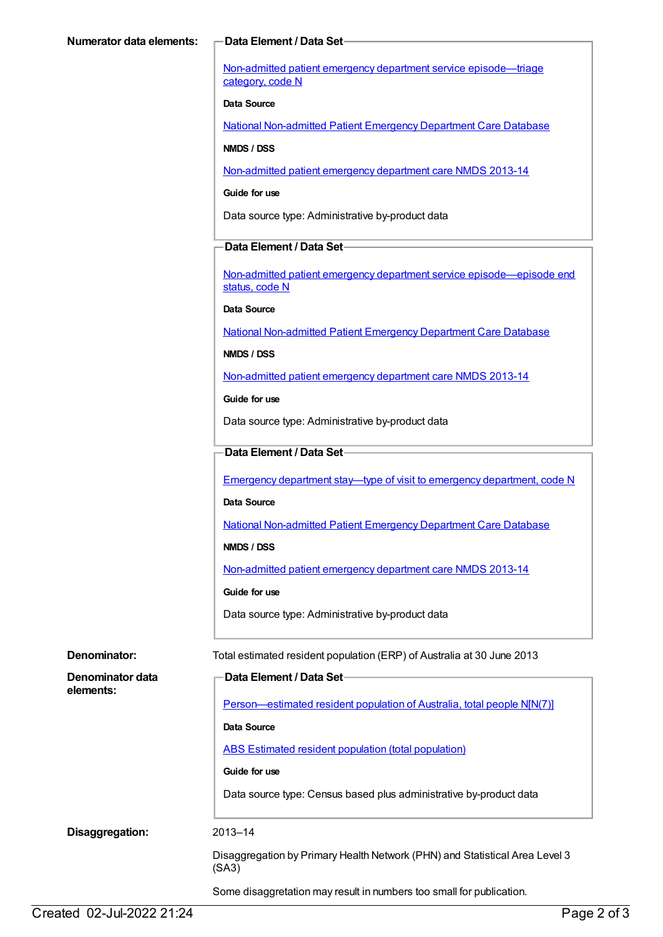Non-admitted patient emergency department service [episode—triage](https://meteor.aihw.gov.au/content/471926) category, code N

#### **Data Source**

National [Non-admitted](https://meteor.aihw.gov.au/content/394733) Patient Emergency Department Care Database

#### **NMDS / DSS**

[Non-admitted](https://meteor.aihw.gov.au/content/509116) patient emergency department care NMDS 2013-14

#### **Guide for use**

Data source type: Administrative by-product data

#### **Data Element / Data Set**

Non-admitted patient emergency department service [episode—episode](https://meteor.aihw.gov.au/content/474159) end status, code N

**Data Source**

National [Non-admitted](https://meteor.aihw.gov.au/content/394733) Patient Emergency Department Care Database

#### **NMDS / DSS**

[Non-admitted](https://meteor.aihw.gov.au/content/509116) patient emergency department care NMDS 2013-14

**Guide for use**

Data source type: Administrative by-product data

#### **Data Element / Data Set**

**Data Element / Data Set**

Emergency department stay—type of visit to emergency [department,](https://meteor.aihw.gov.au/content/474195) code N

#### **Data Source**

National [Non-admitted](https://meteor.aihw.gov.au/content/394733) Patient Emergency Department Care Database

**NMDS / DSS**

[Non-admitted](https://meteor.aihw.gov.au/content/509116) patient emergency department care NMDS 2013-14

#### **Guide for use**

Data source type: Administrative by-product data

**Denominator:** Total estimated resident population (ERP) of Australia at 30 June 2013

| Denominator data |  |
|------------------|--|
| elements:        |  |

[Person—estimated](https://meteor.aihw.gov.au/content/388656) resident population of Australia, total people N[N(7)]

#### **Data Source**

ABS Estimated resident population (total [population\)](https://meteor.aihw.gov.au/content/393625)

#### **Guide for use**

Data source type: Census based plus administrative by-product data

**Disaggregation:** 2013–14

Disaggregation by Primary Health Network (PHN) and Statistical Area Level 3 (SA3)

Some disaggretation may result in numbers too small for publication.